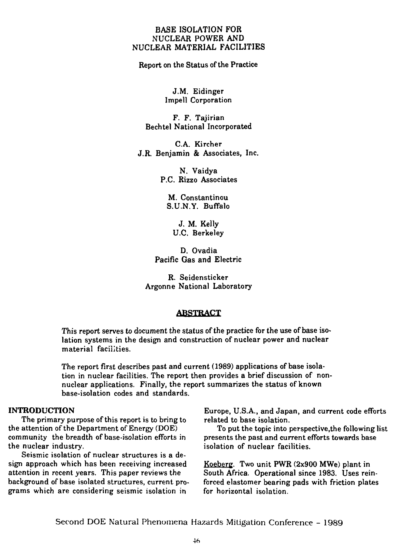#### BASE ISOLATION FOR NUCLEAR POWER AND NUCLEAR MATERIAL FACILITIES

Report on the Status of the Practice

J.M. Eidinger Impell Corporation

F. F. Tajirian Bechtel National Incorporated

C.A. Kircher J.R. Benjamin & Associates, Inc.

> N. Vaidya P.C. Rizzo Associates

M. Constantinou S.U.N.Y. Buffalo

J. M. Kelly U.C. Berkeley

D. Ovadia Pacific Gas and Electric

R. Seidensticker Argonne National Laboratory

#### **ABSTRACT**

This report serves to document the status of the practice for the use of base isolation systems in the design and construction of nuclear power and nuclear material facilities.

The report first describes past and current (1989) applications of base isolation in nuclear facilities. The report then provides a brief discussion of nonnuclear applications. Finally, the report summarizes the status of known base-isolation codes and standards.

#### **INTRODUCTION**

The primary purpose of this report is to bring to the attention of the Department of Energy (DOE) community the breadth of base-isolation efforts in the nuclear industry.

Seismic isolation of nuclear structures is a design approach which has been receiving increased attention in recent years. This paper reviews the background of base isolated structures, current programs which are considering seismic isolation in

Europe, U.S.A., and Japan, and current code efforts related to base isolation.

To put the topic into perspective.the following list presents the past and current efforts towards base isolation of nuclear facilities.

Koeberg. Two unit PWR (2x900 MWe) plant in South Africa. Operational since 1983. Uses reinforced elastomer bearing pads with friction plates for horizontal isolation.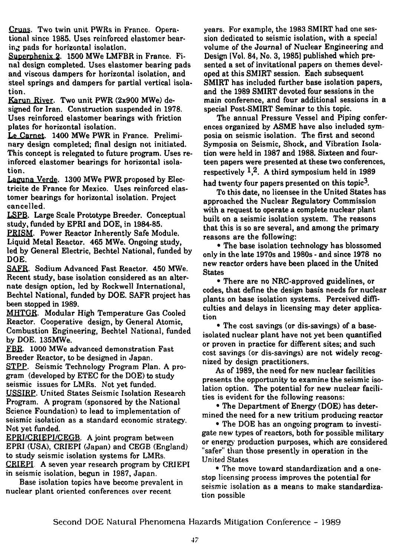Cruas. Two twin unit PWRs in France. Operational since 1985. Uses reinforced elastomer bearing pads for horizontal isolation.

Superphenix 2. 1500 MWe LMFBR in France. Final design completed. Uses elastomer bearing pads and viscous dampers for horizontal isolation, and steel springs and dampers for partial vertical isolation.

Karun River. Two unit PWR (2x900 MWe) designed for Iran. Construction suspended in 1978. Uses reinforced elastomer bearings with friction plates for horizontal isolation.

Le Carnet. 1400 MWe PWR in France. Preliminary design completed; final design not initiated. This concept is relegated to future program. Uses reinforced elastomer bearings for horizontal isolation.

Laguna Verde. 1300 MWe PWR proposed by Electricite de France for Mexico. Uses reinforced elastomer bearings for horizontal isolation. Project cancelled.

LSPB. Large Scale Prototype Breeder. Conceptual study, funded by EPRI and DOE, in 1984-85.

PRISM. Power Reactor Inherently Safe Module. Liquid Metal Reactor. 465 MWe. Ongoing study, led by General Electric, Bechtel National, funded by DOE.

SAFR. Sodium Advanced Fast Reactor. 450 MWe. Recent study, base isolation considered as an alternate design option, led by Rockwell International, Bechtel National, funded by DOE. SAFR project has been stopped in 1989.

MHTGR. Modular High Temperature Gas Cooled Reactor. Cooperative design, by General Atomic, Combustion Engineering, Bechtel National, funded by DOE. 135MWe.

FBR. 1000 MWe advanced demonstration Fast Breeder Reactor, to be designed in Japan.

STPP. Seismic Technology Program Plan, A program (developed by ETEC for the DOE) to study seismic issues for LMRs. Not yet funded.

USSIRP. United States Seismic Isolation Research Program. A program (sponsored by the National Science Foundation) to lead to implementation of seismic isolation as a standard economic strategy. Not yet funded.

EPRI/CRIEPI/CEGB. A joint program between EPRI (USA), CRIEPI (Japan) and CEGB (England) to study seismic isolation systems for LMRs. CRIEPI A seven year research program by CRIEPI in seismic isolation, begun in 1987, Japan.

Base isolation topics have become prevalent in nuclear plant oriented conferences over recent

years. For example, the 1983 SMIRT had one session dedicated to seismic isolation, with a special volume of the Journal of Nuclear Engineering and Design [Vol. 84, No. 3,1985] published which presented a set of invitational papers on themes developed at this SMIRT session. Each subsequent SMIRT has included further base isolation papers, and the 1989 SMIRT devoted four sessions in the main conference, and four additional sessions in a special Post-SMIRT Seminar to this topic.

The annual Pressure Vessel and Piping conferences organized by ASME have also included symposia on seismic isolation. The first and second Symposia on Seismic, Shock, and Vibration Isolation were held in 1987 and 1988. Sixteen and fourteen papers were presented at these two conferences, respectively  $1,2$ . A third symposium held in 1989

had twenty four papers presented on this topic<sup>3</sup>.

To this date, no licensee in the United States has approached the Nuclear Regulatory Commission with a request to operate a complete nuclear plant built on a seismic isolation system. The reasons that this is so are several, and among the primary reasons are the following:

• The base isolation technology has blossomed only in the late 1970s and 1980s - and since 1978 no new reactor orders have been placed in the United **States** 

• There are no NRC-approved guidelines, or codes, that define the design basis needs for nuclear plants on base isolation systems. Perceived difficulties and delays in licensing may deter application

• The cost savings (or dis-savings) of a baseisolated nuclear plant have not yet been quantified or proven in practice for different sites; and such cost savings (or dis-savings) are not widely recognized by design practitioners.

As of 1989, the need for new nuclear facilities presents the opportunity to examine the seismic isolation option. The potential for new nuclear facilities is evident for the following reasons:

• The Department of Energy (DOE) has determined the need for a new tritium producing reactor

• The DOE has an ongoing program to investigate new types of reactors, both for possible military or energy production purposes, which are considered "safer" than those presently in operation in the United States

• The move toward standardization and a onestop licensing process improves the potential for seismic isolation as a means to make standardization possible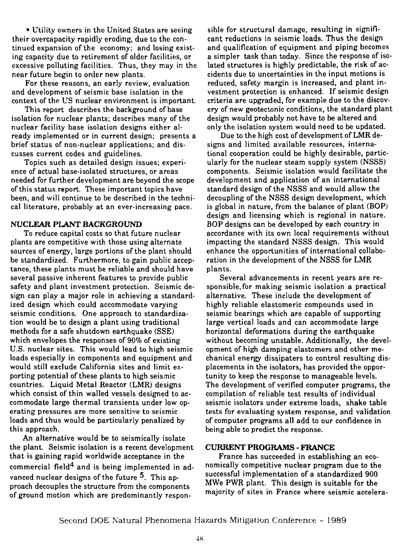• Utility owners in the United States are seeing their overcapacity rapidly eroding, due to the continued expansion of the economy; and losing existing capacity due to retirement of older facilities, or excessive polluting facilities. Thus, they may in the near future begin to order new plants.

For these reasons, an early review, evaluation and development of seismic base isolation in the context of the US nuclear environment is important.

This report describes the background of base isolation for nuclear plants; describes many of the nuclear facility base isolation designs either already implemented or in current design; presents a brief status of non-nuclear applications; and discusses current codes and guidelines.

Topics such as detailed design issues; experience of actual base-isolated structures, or areas needed for further development are beyond the scope of this status report. These important topics have been, and will continue to be described in the technical literature, probably at an ever-increasing pace.

## NUCLEAR PLANT BACKGROUND

To reduce capital costs so that future nuclear plants are competitive with those using alternate sources of energy, large portions of the plant should be standardized. Furthermore, to gain public acceptance, these plants must be reliable and should have several passive inherent features to provide public safety and plant investment protection. Seismic design can play a major role in achieving a standardized design which could accommodate varying seismic conditions. One approach to standardization would be to design a plant using traditional methods for a safe shutdown earthquake (SSE) which envelopes the responses of 90% of existing U.S. nuclear sites. This would lead to high seismic loads especially in components and equipment and would still exclude California sites and limit exporting potential of these plants to high seismic countries. Liquid Metal Reactor (LMR) designs which consist of thin walled vessels designed to accommodate large thermal transients under low operating pressures are more sensitive to seismic loads and thus would be particularly penalized by this approach.

An alternative would be to seismically isolate the plant. Seismic isolation is a recent development that is gaining rapid worldwide acceptance in the commercial field<sup>4</sup> and is being implemented in advanced nuclear designs of the future  $^5$ . This approach decouples the structure from the components of ground motion which are predominantly respon-

sible for structural damage, resulting in significant reductions in seismic loads. Thus the design and qualification of equipment and piping becomes a simpler task than today. Since the response of isolated structures is highly predictable, the risk of accidents due to uncertainties in the input motions is reduced, safety margin is increased, and plant investment protection is enhanced. If seismic design criteria are upgraded, for example due to the discovery of new geotectonic conditions, the standard plant design would probably not have to be altered and only the isolation system would need to be updated.

Due to the high cost of development of LMR designs and limited available resources, international cooperation could be highly desirable, particularly for the nuclear steam supply system (NSSS) components. Seismic isolation would facilitate the development and application of an international standard design of the NSSS and would allow the decoupling of the NSSS design development, which is global in nature, from the balance of plant (BOP) design and licensing which is regional in nature. BOP designs can be developed by each country in accordance with its own local requirements without impacting the standard NSSS design. This would enhance the opportunities of international collaboration in the development of the NSSS for LMR plants.

Several advancements in recent years are responsible, for making seismic isolation a practical alternative. These include the development of highly reliable elastomeric compounds used in seismic bearings which are capable of supporting large vertical loads and can accommodate large horizontal deformations during the earthquake without becoming unstable. Additionally, the development of high damping elastomers and other mechanical energy disgipaters to control resulting displacements in the isolators, has provided the opportunity to keep the response to manageable levels. The development of verified computer programs, the compilation of reliable test results of individual seismic isolators under extreme loads, shake table tests for evaluating system response, and validation of computer programs all add to our confidence in being able to predict the response.

## CURRENT PROGRAMS - FRANCE

France has succeeded in establishing an economically competitive nuclear program due to the successful implementation of a standardized 900 MWe PWR plant. This design is suitable for the majority of sites in France where seismic accelera-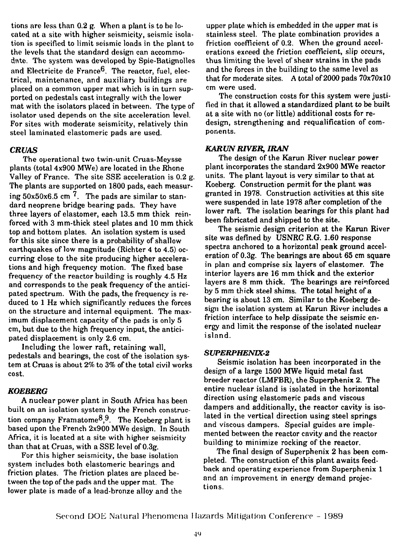tions are less than 0.2 g. When a plant is to be located at a site with higher seismicity, seismic isolation is specified to limit seismic loads in the plant to the levels that the standard design can accommodate. The system was developed by Spie-Batignolles and Electricite de France $^6$ . The reactor, fuel, electrical, maintenance, and auxiliary buildings are placed on a common upper mat which is in turn supported on pedestals cast integrally with the lower mat with the isolators placed in between. The type of isolator used depends on the site acceleration level. For sites with moderate seismicity, relatively thin steel laminated elastomeric pads are used.

#### *CRUAS*

The operational two twin-unit Cruas-Meysse plants (total 4x900 MWe) are located in the Rhone Valley of France. The site SSE acceleration is 0.2 g. The plants are supported on 1800 pads, each measuring  $50x50x6.5$  cm  $^7$ . The pads are similar to standard neoprene bridge bearing pads. They have three layers of elastomer, each 13.5 mm thick reinforced with 3 mm-thick steel plates and 10 mm thick top and bottom plates. An isolation system is used for this site since there is a probability of shallow earthquakes of low magnitude (Richter 4 to 4.5) occurring close to the site producing higher accelerations and high frequency motion. The fixed base frequency of the reactor building is roughly 4.5 Hz and corresponds to the peak frequency of the anticipated spectrum. With the pads, the frequency is reduced to 1 Hz which significantly reduces the forces on the structure and internal equipment. The maximum displacement capacity of the pads is only 5 cm, but due to the high frequency input, the anticipated displacement is only 2.6 cm.

Including the lower raft, retaining wall, pedestals and bearings, the cost of the isolation system at Cruas is about 2% to 3% of the total civil works cost.

#### *KOEBERG*

A nuclear power plant in South Africa has been built on an isolation system by the French construction company Framatome<sup>8,9</sup>. The Koeberg plant is based upon the French 2x900 MWe design. In South Africa, it is located at a site with higher seismicity than that at Cruas, with a SSE level of 0.3g.

For this higher seismicity, the base isolation system includes both elastomeric bearings and friction plates. The friction plates are placed between the top of the pads and the upper mat. The lower plate is made of a lead-bronze alloy and the

upper plate which is embedded in the upper mat is stainless steel. The plate combination provides a friction coefficient of 0.2. When the ground accelerations exceed the friction coefficient, slip occurs, thus limiting the level of shear strains in the pads and the forces in the building to the same level as that for moderate sites. A total of 2000 pads 70x70x10 cm were used.

The construction costs for this system were justified in that it allowed a standardized plant to be built at a site with no (or little) additional costs for redesign, strengthening and requalification of components.

#### *KAR UN RIVER, IRAN*

The design of the Karun River nuclear power plant incorporates the standard 2x900 MWe reactor units. The plant layout is very similar to that at Koeberg. Construction permit for the plant was granted in 1978. Construction activities at this site were suspended in late 1978 after completion of the lower raft. The isolation bearings for this plant had been fabricated and shipped to the site.

The seismic design criterion at the Karun River site was defined by USNRC R.G. 1.60 response spectra anchored to a horizontal peak ground acceleration of 0.3g. The bearings are about 65 cm square in plan and comprise six layers of elastomer. The interior layers are 16 mm thick and the exterior layers are 8 mm thick. The bearings are reinforced by 5 mm thick steel shims. The total height of a bearing is about 13 cm. Similar to the Koeberg design the isolation system at Karun River includes a friction interface to help dissipate the seismic energy and limit the response of the isolated nuclear island.

#### *SUPERPHENIX-2*

Seismic isolation has been incorporated in the design of a large 1500 MWe liquid metal fast breeder reactor (LMFBR), the Superphenix 2. The entire nuclear island is isolated in the horizontal direction using elastomeric pads and viscous dampers and additionally, the reactor cavity is isolated in the vertical direction using steel springs and viscous dampers. Special guides are implemented between the reactor cavity and the reactor building to minimize rocking of the reactor.

The final design of Superphenix 2 has been completed. The construction of this plant awaits feedback and operating experience from Superphenix 1 and an improvement in energy demand projections.

Second DOE Natural Phenomena Hazards Mitigation Conferenre - 1989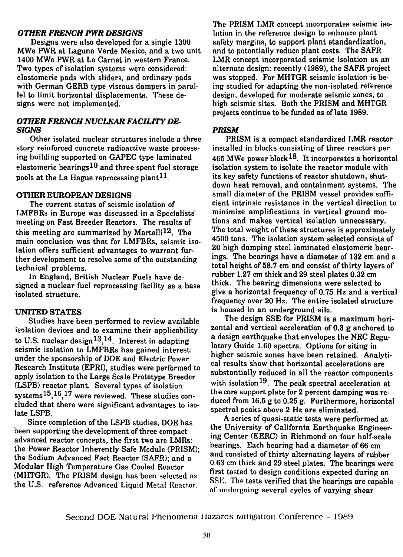### OTHER FRENCH PWR DESIGNS

Designs were also developed for a single 1300 MWe PWR at Laguna Verde Mexico, and a two unit 1400 MWe PWR at Le Carnet in western France. Two types of isolation systems were considered: elastomeric pads with sliders, and ordinary pads with German GERB type viscous dampers in parallel to limit horizontal displacements. These designs were not implemented.

## *OTHER FRENCH NUCLEAR FACILITY DE-SIGNS*

Other isolated nuclear structures include a three story reinforced concrete radioactive waste processing building supported on GAPEC type laminated elastomeric bearings  $10$  and three spent fuel storage pools at the La Hague reprocessing plant<sup>11</sup>.

#### **OTHER EUROPEAN DESIGNS**

The current status of seismic isolation of LMFBRs in Europe was discussed in a Specialists' meeting on Fast Breeder Reactors. The results of this meeting are summarized by Martelli<sup>12</sup>. The main conclusion was that for LMFBRs, seismic isolation offers sufficient advantages to warrant further development to resolve some of the outstanding technical problems.

In England, British Nuclear Fuels have designed a nuclear fuel reprocessing facility as a base isolated structure.

## **UNITED STATES**

Studies have been performed to review available isolation devices and to examine their applicability to U.S. nuclear design<sup>13</sup>,<sup>14</sup>. Interest in adapting seismic isolation to LMFBRs has gained interest: under the sponsorship of DOE and Electric Power Research Institute (EPRI), studies were performed to apply isolation to the Large Scale Prototype Breeder (LSPB) reactor plant. Several types of isolation systems<sup>15</sup>,16,17 were reviewed. These studies concluded that there were significant advantages to isolate LSPB.

Since completion of the LSPB studies, DOE has been supporting the development of three compact advanced reactor concepts, the first two are LMRs: the Power Reactor Inherently Safe Module (PRISM); the Sodium Advanced Fact Reactor (SAFR); and a Modular High Temperature Gas Cooled Reactor (MHTGR). The PRISM design has been selected as the U.S. reference Advanced Liquid Metal Reactor.

The PRISM LMR concept incorporates seismic isolation in the reference design to enhance plant safety margins, to support plant standardization, and to potentially reduce plant costs. The SAFR LMR concept incorporated seismic isolation as an alternate design: recently (1989), the SAFR project was stopped. For MHTGR seismic isolation is being studied for adapting the non-isolated reference design, developed for moderate seismic zones, to high seismic sites. Both the PRISM and MHTGR projects continue to be funded as of late 1989.

## *PRISM*

PRISM is a compact standardized LMR reactor installed in blocks consisting of three reactors per 465 MWe power block<sup>18</sup>. It incorporates a horizontal isolation system to isolate the reactor module with its key safety functions of reactor shutdown, shutdown heat removal, and containment systems. The small diameter of the PRISM vessel provides sufficient intrinsic resistance in the vertical direction to minimize amplifications in vertical ground motions and makes vertical isolation unnecessary. The total weight of these structures is approximately 4500 tons. The isolation system selected consists of 20 high damping steel laminated elastomeric bearings. The bearings have a diameter of 132 cm and a total height of 58.7 cm and consist of thirty layers of rubber 1.27 cm thick and 29 steel plates 0.32 cm thick. The bearing dimensions were selected to give a horizontal frequency of 0.75 Hz and a vertical frequency over 20 Hz. The entire isolated structure is housed in an underground silo.

The design SSE for PRISM is a maximum horizontal and vertical acceleration of 0.3 g anchored to a design earthquake that envelopes the NRC Regulatory Guide 1.60 spectra. Options for siting in higher seismic zones have been retained. Analytical results show that horizontal accelerations are substantially reduced in all the reactor components with isolation  $^{19}$ . The peak spectral acceleration at the core support plate for 2 percent damping was reduced from 16.5 g to 0.25 g. Furthermore, horizontal spectral peaks above 2 Hz are eliminated.

A series of quasi-static tests were performed at the University of California Earthquake Engineering Center (EERC) in Richmond on four half-scale bearings. Each bearing had a diameter of 66 cm and consisted of thirty alternating layers of rubber 0.63 cm thick and 29 steel plates. The bearings were first tested to design conditions expected during an SSE. The tests verified that the bearings are capable of undergoing several cycles of varying shear

Second DOE Natural Phenomena Hazards Mitigation Conference - 1989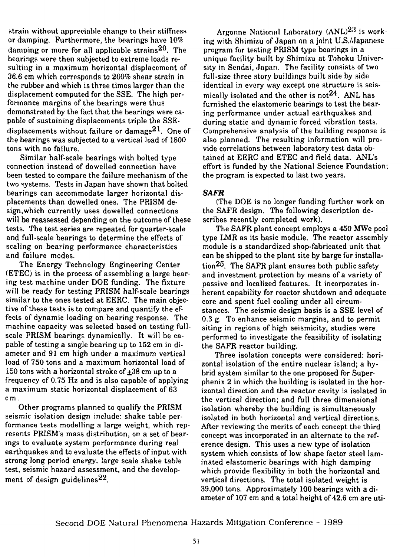strain without appreciable change to their stiffness or damping. Furthermore, the bearings have 10% damping or more for all applicable strains<sup>20</sup>. The bearings were then subjected to extreme loads resulting in a maximum horizontal displacement of 36.6 cm which corresponds to 200% shear strain in the rubber and which is three times larger than the displacement computed for the SSE. The high performance margins of the bearings were thus demonstrated by the fact that the bearings were capable of sustaining displacements triple the SSEdisplacements without failure or damage<sup>21</sup>. One of the bearings was subjected to a vertical load of 1800 tons with no failure.

Similar half-scale bearings with bolted type connection instead of dowelled connection have been tested to compare the failure mechanism of the two systems. Tests in Japan have shown that bolted bearings can accommodate larger horizontal displacements than dowelled ones. The PRISM design,which currently uses dowelled connections will be reassessed depending on the outcome of these tests. The test series are repeated for quarter-scale and full-scale bearings to determine the effects of scaling on bearing performance characteristics and failure modes.

The Energy Technology Engineering Center (ETEC) is in the process of assembling a large bearing test machine under DOE funding. The fixture will be ready for testing PRISM half-scale bearings similar to the ones tested at EERC. The main objective of these tests is to compare and quantify the effects of dynamic loading on bearing response. The machine capacity was selected based on testing fullscale PRISM bearings dynamically. It will be capable of testing a single bearing up to 152 cm in diameter and 91 cm high under a maximum vertical load of 750 tons and a maximum horizontal load of 150 tons with a horizontal stroke of  $\pm 38$  cm up to a frequency of 0.75 Hz and is also capable of applying a maximum static horizontal displacement of 63 cm.

Other programs planned to qualify the PRISM seismic isolation design include: shake table performance tests modelling a large weight, which represents PRISM's mass distribution, on a set of bearings to evaluate system performance during real earthquakes and to evaluate the effects of input with strong long period energy. large scale shake table test, seismic hazard assessment, and the development of design guidelines<sup>22</sup>.

Argonne National Laboratory (ANL)<sup>23</sup> is working with Shimizu of Japan on a joint LJ.S./Japanese program for testing PRISM type bearings in a unique facility **built** by Shimizu at Tohoku University in Sendai, Japan. The facility consists of two full-size three story buildings built side by side identical in every way except one structure is seismically isolated and the other is not<sup>24</sup>. ANL has furnished the elastomeric bearings to test the bearing performance under actual earthquakes and during static and dynamic forced vibration tests. Comprehensive analysis of the building response is also planned. The resulting information will provide correlations between laboratory test data obtained at EERC and ETEC and field data. ANL's effort is funded by the National Science Foundation; the program is expected to last two years.

## *SAFR*

(The DOE is no longer funding further work on the SAFR design, The following description describes recently completed work).

The SAFR plant concept employs a 450 MWe pool type LMR as its basic module. The reactor assembly module is a standardized shop-fabricated unit that can be shipped to the plant site by barge for installation<sup>25</sup>. The SAFR plant ensures both public safety and investment protection by means of a variety of passive and localized features. It incorporates inherent capability for reactor shutdown and adequate core and spent fuel cooling under all circumstances. The seismic design basis is a SSE level of 0.3 g. To enhance seismic margins, and to permit siting in regions of high seismicity, studies were performed to investigate the feasibility of isolating the SAFR reactor building.

Three isolation concepts were considered: horizontal isolation of the entire nuclear island; a hybrid system similar to the one proposed for Superphenix 2 in which the building is isolated in the horizontal direction and the reactor cavity is isolated in the vertical direction; and full three dimensional isolation whereby the building is simultaneously isolated in both horizontal and vertical directions. After reviewing the merits of each concept the third concept was incorporated in an alternate to the reference design. This uses a new type of isolation system which consists of low shape factor steel laminated elastomeric bearings with high damping which provide flexibility in both the horizontal and vertical directions. The total isolated weight is 39,000 tons. Approximately 100 bearings with a diameter of 107 cm and a total height of 42.6 cm are uti-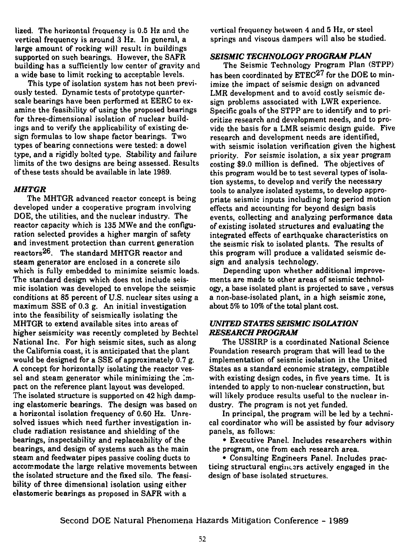lized. The horizontal frequency is 0.5 Hz and the vertical frequency is around 3 Hz. In general, a large amount of rocking will result in buildings supported on such bearings. However, the SAFR building has a sufficiently low center of gravity and a wide base to limit rocking to acceptable levels.

This type of isolation system has not been previously tested. Dynamic tests of prototype quarterscale bearings have been performed at EERC to examine the feasibility of using the proposed bearings for three-dimensional isolation of nuclear buildings and to verify the applicability of existing design formulas to low shape factor bearings. Two types of bearing connections were tested: a dowel type, and a rigidly bolted type. Stability and failure limits of the two designs are being assessed. Results of these tests should be available in late 1989.

# *MHTGR*

The MHTGR advanced reactor concept is being developed under a cooperative program involving DOE, the utilities, and the nuclear industry. The reactor capacity which is 135 MWe and the configuration selected provides a higher margin of safety and investment protection than current generation reactors<sup>26</sup>. The standard MHTGR reactor and steam generator are enclosed in a concrete silo which is fully embedded to minimize seismic loads. The standard design which does not include seismic isolation was developed to envelope the seismic conditions at 85 percent of U.S. nuclear sites using a maximum SSE of 0.3 g. An initial investigation into the feasibility of seismically isolating the MHTGR to extend available sites into areas of higher seismicity was recently completed by Bechtel National Inc. For high seismic sites, such as along the California coast, it is anticipated that the plant would be designed for a SSE of approximately 0.7 g. A concept for horizontally isolating the reactor vessel and steam generator while minimizing the Impact on the reference plant layout was developed. The isolated structure is supported on 42 high damping elastomeric bearings. The design was based on a horizontal isolation frequency of 0.60 Hz. Unresolved issues which need further investigation include radiation resistance and shielding of the bearings, inspectability and replaceability of the bearings, and design of systems such as the main steam and feedwater pipes passive cooling ducts to accommodate the large relative movements between the isolated structure and the fixed silo. The feasibility of three dimensional isolation using either elastomeric bearings as proposed in SAFR with a

vertical frequency between 4 and 5 Hz, or steel springs and viscous dampers will also be studied.

## *SEISMIC TECHNOLOGY PROGRAM PLAN*

The Seismic Technology Program Plan (STPP) has been coordinated by  $\rm ETEC^{27}$  for the DOE to minimize the impact of seismic design on advanced LMR development and to avoid costly seismic design problems associated with LWR experience. Specific goals of the STPP are to identify and to prioritize research and development needs, and to provide the basis for a LMR seismic design guide. Five research and development needs are identified, with seismic isolation verification given the highest priority. For seismic isolation, a six year program costing \$9.0 million is defined. The objectives of this program would be to test several types of isolation systems, to develop and verify the necessary tools to analyze isolated systems, to develop appropriate seismic inputs including long period motion effects and accounting for beyond design basis events, collecting and analyzing performance data of existing isolated structures and evaluating the integrated effects of earthquake characteristics on the seismic risk to isolated plants. The results of this program will produce a validated seismic design and analysis technology.

Depending upon whether additional improvements are made to other areas of seismic technology, a base isolated plant is projected to save , versus a non-base-isolated plant, in a high seismic zone, about 5% to 10% of the total plant cost.

# *UNITED STATES SEISMIC ISOLATION RESEARCH PROGRAM*

The USSIRP is a coordinated National Science Foundation research program that will lead to the implementation of seismic isolation in the United States as a standard economic strategy, compatible with existing design codes, in five years time. It is intended to apply to non-nuclear construction, but will likely produce results useful to the nuclear industry. The program is not yet funded.

In principal, the program will be led by a technical coordinator who will be assisted by four advisory panels, as follows:

• Executive Panel. Includes researchers within the program, one from each research area.

• Consulting Engineers Panel. Includes practicing structural engincars actively engaged in the design of base isolated structures.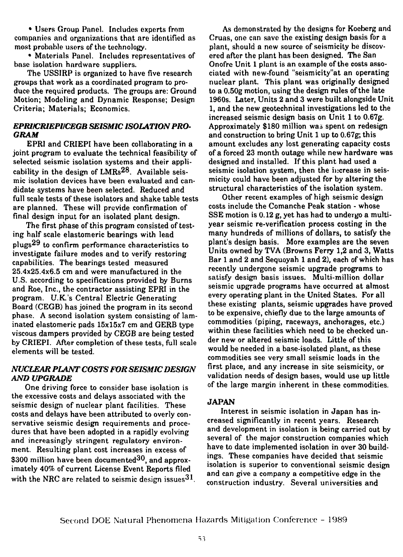• Users Group Panel, Includes experts from companies and organizations that are identified as most probable users of the technology.

• Materials Panel, Includes representatives of base isolation hardware suppliers.

The USSIRP is organized to have five research groups that work as a coordinated program to produce the required products. The groups are: Ground Motion; Modeling and Dynamic Response; Design Criteria; Materials; Economics.

## *EPRI/CRIEPI/CEGB SEISMIC ISOLATION PRO-GRAM*

EPRI and CRIEPI have been collaborating in a joint program to evaluate the technical feasibility of selected seismic isolation systems and their applicability in the design of  $LMRs^{28}$ . Available seismic isolation devices have been evaluated and candidate systems have been selected. Reduced and full scale tests of these isolators and shake table tests are planned. These will provide confirmation of final design input for an isolated plant design.

The first phase of this program consisted of testing half scale elastomeric bearings with lead plugs<sup>29</sup> to confirm performance characteristics to investigate failure modes and to verify restoring capabilities. The bearings tested measured 25.4x25.4x6.5 cm and were manufactured in the U.S. according to specifications provided by Burns and Roe, Inc., the contractor assisting EPRI in the program. U.K's Central Electric Generating Board (CEGB) has joined the program in its second phase. A second isolation system consisting of laminated elastomeric pads 15x15x7 cm and GERB type viscous dampers provided by CEGB are being tested by CRIEPI. After completion of these tests, full scale elements will be tested.

# *NUCLEAR PLANT COSTS FOR SEISMIC DESIGN AND UPGRADE*

One driving force to consider base isolation is the excessive costs and delays associated with the seismic design of nuclear plant facilities. These costs and delays have been attributed to overly conservative seismic design requirements and procedures that have been adopted in a rapidly evolving and increasingly stringent regulatory environment. Resulting plant cost increases in excess of \$300 million have been documented $30$ , and approximately 40% of current License Event Reports filed with the NRC are related to seismic design issues  $31$ .

As demonstrated by the designs for Koeberg and Cruas, one can save the existing design basis for a plant, should a new source of seismicity be discovered after the plant has been designed. The San Onofre Unit 1 plant is an example of the costs associated with new-found "seismicity"at an operating nuclear plant. This plant was originally designed to a 0.50g motion, using the design rules of the late 1960s. Later, Units 2 and 3 were built alongside Unit 1, and the new geotechnical investigations led to the increased seismic design basis on Unit 1 to 0.67g. Approximately \$180 million was spent on redesign and construction to bring Unit 1 up to 0.67g; this amount excludes any lost generating capacity costs of a forced 23 month outage while new hardware was designed and installed. If this plant had used a seismic isolation system, then the increase in seismicity could have been adjusted for by altering the structural characteristics of the isolation system.

Other recent examples of high seismic design costs include the Comanche Peak station - whose SSE motion is 0.12 g, yet has had to undergo a multiyear seismic re-verification process costing in the many hundreds of millions of dollars, to satisfy the plant's design basis. More examples are the seven Units owned by TVA (Browns Ferry 1,2 and 3, Watts Bar 1 and 2 and Sequoyah 1 and 2), each of which has recently undergone seismic upgrade programs to satisfy design basis issues. Multi-million dollar seismic upgrade programs have occurred at almost every operating plant in the United States. For all these existing plants, seismic upgrades have proved to be expensive, chiefly due to the large amounts of commodities (piping, raceways, anchorages, etc.) within these facilities which need to be checked under new or altered seismic loads. Little of this would be needed in a base-isolated plant, as these commodities see very small seismic loads in the first place, and any increase in site seismicity, or validation needs of design bases, would use up little of the large margin inherent in these commodities.

## **JAPAN**

Interest in seismic isolation in Japan has increased significantly in recent years. Research and development in isolation is being carried out by several of the major construction companies which have to date implemented isolation in over 30 buildings. These companies have decided that seismic isolation is superior to conventional seismic design and can give a company a competitive edge in the construction industry. Several universities and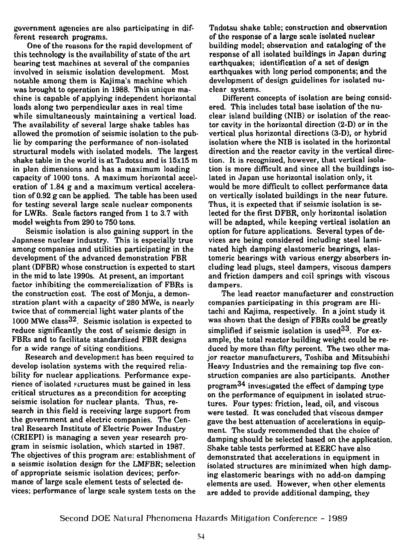government agencies are also participating in different research programs.

One of the reasons for the rapid development of this technology is the availability of state of the art bearing test machines at several of the companies involved in seismic isolation development. Most notable among them is Kajima's machine which was brought to operation in 1988. This unique machine is capable of applying independent horizontal loads along two perpendicular axes in real time while simultaneously maintaining a vertical load. The availability of several large shake tables has allowed the promotion of seismic isolation to the public by comparing the performance of non-isolated structural models with isolated models. The largest shake table in the world is at Tadotsu and is 15x15 m in plan dimensions and has a maximum loading capacity of 1000 tons. A maximum horizontal acceleration of 1.84 g and a maximum vertical acceleration of 0.92 g can be applied. The table has been used for testing several large scale nuclear components for LWRs. Scale factors ranged from 1 to 3.7 with model weights from 290 to 750 tons.

Seismic isolation is also gaining support in the Japanese nuclear industry. This is especially true among companies and utilities participating in the development of the advanced demonstration FBR plant (DFBR) whose construction is expected to start in the mid to late 1990s. At present, an important factor inhibiting the commercialization of FBRs is the construction cost. The cost of Monju, a demonstration plant with a capacity of 280 MWe, is nearly twice that of commercial light water plants of the 1000 MWe class  $32$ . Seismic isolation is expected to reduce significantly the cost of seismic design in FBRs and to facilitate standardized FBR designs for a wide range of siting conditions.

Research and development has been required to develop isolation systems with the required reliability for nuclear applications. Performance experience of isolated structures must be gained in less critical structures as a precondition for accepting seismic isolation for nuclear plants. Thus, research in this field is receiving large support from the government and electric companies. The Central Research Institute of Electric Power Industry (CRIEPI) is managing a seven year research program in seismic isolation, which started in 1987. The objectives of this program are: establishment of a seismic isolation design for the LMFBR; selection of appropriate seismic isolation devices; performance of large scale element tests of selected devices; performance of large scale system tests on the Tadotsu shake table; construction and observation of the response of a large scale isolated nuclear building model; observation and cataloging of the response of all isolated buildings in Japan during earthquakes; identification of a set of design earthquakes with long period components; and the development of design guidelines for isolated nuclear systems.

Different concepts of isolation are being considered. This includes total base isolation of the nuclear island building (NIB) or isolation of the reactor cavity in the horizontal direction (2-D) or in the vertical plus horizontal directions (3-D), or hybrid isolation where the NIB is isolated in the horizontal direction and the reactor cavity in the vertical direction. It is recognized, however, that vertical isolation is more difficult and since all the buildings isolated in Japan use horizontal isolation only, it would be more difficult to collect performance data on vertically isolated buildings in the near future. Thus, it is expected that if seismic isolation is selected for the first DFBR, only horizontal isolation will be adapted, while keeping vertical isolation an option for future applications. Several types of devices are being considered including steel laminated high damping elastomeric bearings, elastomeric bearings with various energy absorbers including lead plugs, steel dampers, viscous dampers and friction dampers and coil springs with viscous dampers.

The lead reactor manufacturer and construction companies participating in this program are Hitachi and Kajima, respectively. In a joint study it was shown that the design of FBRs could be greatly simplified if seismic isolation is used $33$ . For example, the total reactor building weight could be reduced by more than fifty percent. The two other major reactor manufacturers, Toshiba and Mitsubishi Heavy Industries and the remaining top five construction companies are also participants. Another program $^{34}$  investigated the effect of damping type on the performance of equipment in isolated structures. Four types: friction, lead, oil, and viscous were tested. It was concluded that viscous damper gave the best attenuation of accelerations in equipment. The study recommended that the choice of damping should be selected based on the application. damping should be selected based on the appli-<br>Shake table tests performed at EERC have also demonstrated that accelerations in equipment in demonstrated that accelerations in equipment in<br>isolated structures are minimized when high damping elastomeric bearings with no add-on damping elements are used. However, when other elements are the set elements are used. However, when other elements<br>are added to provide additional damping, they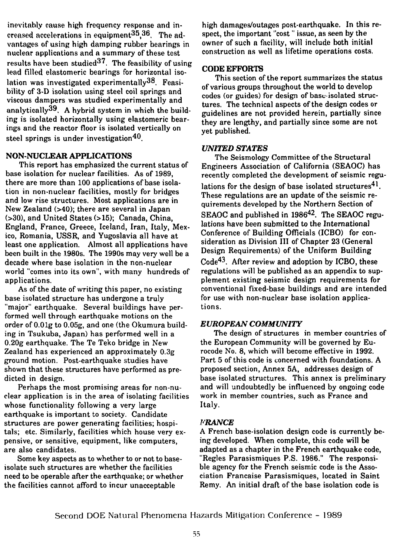inevitably cause high frequency response and increased accelerations in equipment $35.36$ . The advantages of using high damping rubber bearings in nuclear applications and a summary of these test results have been studied  $37$ . The feasibility of using lead filled elastomeric bearings for horizontal isolation was investigated experimentally $^{38}$ . Feasibility of 3-D isolation using steel coil springs and viscous dampers was studied experimentally and analytically  $^{39}$ . A hybrid system in which the building is isolated horizontally using elastomeric bearings and the reactor floor is isolated vertically on steel springs is under investigation<sup>40</sup>.

#### **NON-NUCLEAR APPLICATIONS**

This report has emphasized the current status of base isolation for nuclear facilities. As of 1989, there are more than 100 applications of base isolation in non-nuclear facilities, mostly for bridges and low rise structures. Most applications are in New Zealand (>40); there are several in Japan (>30), and United States (>15); Canada, China, England, France, Greece, Iceland, Iran, Italy, Mexico, Romania, USSR, and Yugoslavia all have at least one application. Almost all applications have been built in the 1980s. The 1990s may very well be a decade where base isolation in the non-nuclear world "comes into its own", with many hundreds of applications.

As of the date of writing this paper, no existing base isolated structure has undergone a truly "major" earthquake. Several buildings have performed well through earthquake motions on the order of O.Olg to 0.05g, and one (the Okumura building in Tsukuba, Japan) has performed well in a 0.20g earthquake. The Te Teko bridge in New Zealand has experienced an approximately 0.3g ground motion. Post-earthquake studies have shown that these structures have performed as predicted in design.

Perhaps the most promising areas for non-nuclear application is in the area of isolating facilities whose functionality following a very large earthquake is important to society. Candidate structures are power generating facilities; hospitals; etc. Similarly, facilities which house very expensive, or sensitive, equipment, like computers, are also candidates.

Some key aspects as to whether to or not to baseisolate such structures are whether the facilities need to be operable after the earthquake; or whether the facilities cannot afford to incur unacceptable

high damages/outages post-earthquake. In this respect, the important "cost" issue, as seen by the owner of such a facility, will include both initial construction as well as lifetime operations costs.

## **CODE EFFORTS**

This section of the report summarizes the status of various groups throughout the world to develop codes (or guides) for design of base isolated structures. The technical aspects of the design codes or guidelines are not provided herein, partially since they are lengthy, and partially since some are not yet published.

# *UNITED STATES*

The Seismology Committee of the Structural Engineers Association of California (SEAOC) has recently completed the development of seismic regulations for the design of base isolated structures $^{\textbf{\textup{41}}}.$ These regulations are an update of the seismic requirements developed by the Northern Section of SEAOC and published in 1986<sup>42</sup> . The SEAOC regulations have been submitted to the International Conference of Building Officials (ICBO) for consideration as Division III of Chapter 23 (General Design Requirements) of the Uniform Building Code<sup>43</sup> . After review and adoption by ICBO, these regulations will be published as an appendix to supplement existing seismic design requirements for conventional fixed-base buildings and are intended for use with non-nuclear base isolation applications.

# *EUROPEAN COMMUNITY*

The design of structures in member countries of the European Community will be governed by Eurocode No. 8, which will become effective in 1992. Part 5 of this code is concerned with foundations. A proposed section, Annex 5A, addresses design of base isolated structures. This annex is preliminary and will undoubtedly be influenced by ongoing code work in member countries, such as France and Italy.

## *FRANCE*

A French base-isolation design code is currently being developed. When complete, this code will be adapted as a chapter in the French earthquake code. "Regies Parasismiques P.S. 1986." The responsible agency for the French seismic code is the Association Francaise Parasismiques, located in Saint Remy. An initial draft of the base isolation code is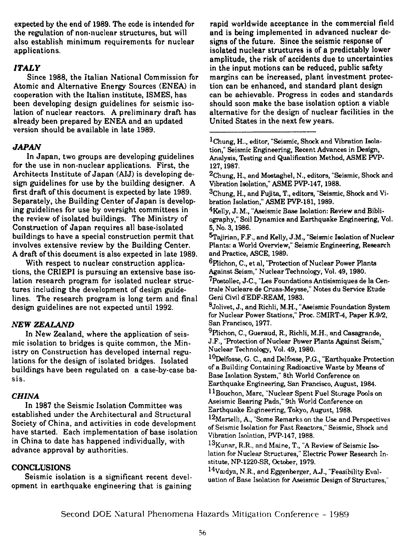expected by the end of 1989, The code is intended for the regulation of non-nuclear structures, but will also establish minimum requirements for nuclear applications.

## *ITALY*

Since 1988, the Italian National Commission for Atomic and Alternative Energy Sources (ENEA) in cooperation with the Italian institute, ISMES, has been developing design guidelines for seismic isolation of nuclear reactors. A preliminary draft has already been prepared by ENEA and an updated version should be available in late 1989.

## *JAPAN*

In Japan, two groups are developing guidelines for the use in non-nuclear applications. First, the Architects Institute of Japan (AIJ) is developing design guidelines for use by the building designer. A first draft of this document is expected by late 1989. Separately, the Building Center of Japan is developing guidelines for use by oversight committees in the review of isolated buildings. The Ministry of Construction of Japan requires all base-isolated buildings to have a special construction permit that involves extensive review by the Building Center. A draft of this document is also expected in late 1989.

With respect to nuclear construction applications, the CRIEPI is pursuing an extensive base isolation research program for isolated nuclear structures including the development of design guidelines. The research program is long term and final design guidelines are not expected until 1992.

## *NEW ZEALAND*

In New Zealand, where the application of seismic isolation to bridges is quite common, the Ministry on Construction has developed internal regulations for the design of isolated bridges. Isolated buildings have been regulated on a case-by-case basis.

## *CHINA*

In 1987 the Seismic Isolation Committee was established under the Architectural and Structural Society of China, and activities in code development have started. Each implementation of base isolation in China to date has happened individually, with advance approval by authorities.

## **CONCLUSIONS**

Seismic isolation is a significant recent development in earthquake engineering that is gaining

rapid worldwide acceptance in the commercial field and is being implemented in advanced nuclear designs of the future. Since the seismic response of isolated nuclear structures is of a predictably lower amplitude, the risk of accidents due to uncertainties in the input motions can be reduced, public safety margins can be increased, plant investment protection can be enhanced, and standard plant design can be achievable. Progress in codes and standards should soon make the base isolation option a viable alternative for the design of nuclear facilities in the United States in the next few years.

<sup>2</sup>Chung, H., and Mostaghel, N., editors, "Seismic, Shock and Vibration Isolation," ASME PVP-147,1988.

<sup>3</sup>Chung, H., and Fujita, T., editors, "Seismic, Shock and Vibration Isolation," ASME PVP-181, 1989.

<sup>4</sup>Kelly, J. M., "Aseismic Base Isolation: Review and Bibliography," Soil Dynamics and Earthquake Engineering, Vol. 5, No. 3,1986.

^Tajirian, F.F., and Kelly, J.M., "Seismic Isolation of Nuclear Plants: a World Overview," Seismic Engineering, Research and Practice, ASCE, 1989.

<sup>6</sup>Plichon, C., et al, "Protection of Nuclear Power Plants Against Seism," Nuclear Technology, Vol. 49,1980.

'Postollec, J-C, "Les Foundations Antisismiques de la Centrale Nucleare de Cruas-Meysse," Notes du Service Etude Geni Civil d'EDF-REAM, 1983.

 $^8$ Jolivet, J., and Richli, M.H., "Aseismic Foundation System for Nuclear Power Stations," Proc. SMIRT-4, Paper K.9/2, San Francisco, 1977.

 $^{9}$ Plichon, C., Gueraud, R., Richli, M.H., and Casagrande, J.F., "Protection of Nuclear Power Plants Against Seism," Nuclear Technology, Vol. 49, 1980.

<sup>10</sup>Delfosse, G. C, and Delfosse, P.G., "Earthquake Protection of a Building Containing Radioactive Waste by Means of Base Isolation System," 8th World Conference on Earthquake Engineering, San Francisco, August, 1984.

<sup>11</sup>Bouchon, Marc, "Nuclear Spent Fuel Storage Pools on Aseismic Bearing Pads," 9th World Conference on Earthquake Engineering, Tokyo, August, 1988.

<sup>12</sup>Martelli, A., "Some Remarks on the Use and Perspectives of Seismic Isolation for Fast Reactors," Seismic, Shock and Vibration Isolation, PVP-147, 1988.

 $^{13}\rm{K}$ unar, R.R., and Maine, T., "A Review of Seismic Isolation for Nuclear Structures," Electric Power Research Institute, NP-1220-SR, October, 1979.

<sup>14</sup>Vaidya, N.R., and Eggenberger, A.J., "Feasibility Evaluation of Base Isolation for Aseismic Design of Structures,"

Second DOE Natural Phenomena Hazards Mitigation Conference - 1989

<sup>1</sup>Chung, H.., editor, "Seismic, Shock and Vibration Isolation," Seismic Engineering, Recent Advances in Design, Analysis, Testing and Qualification Method, ASME PVP-127,1987.